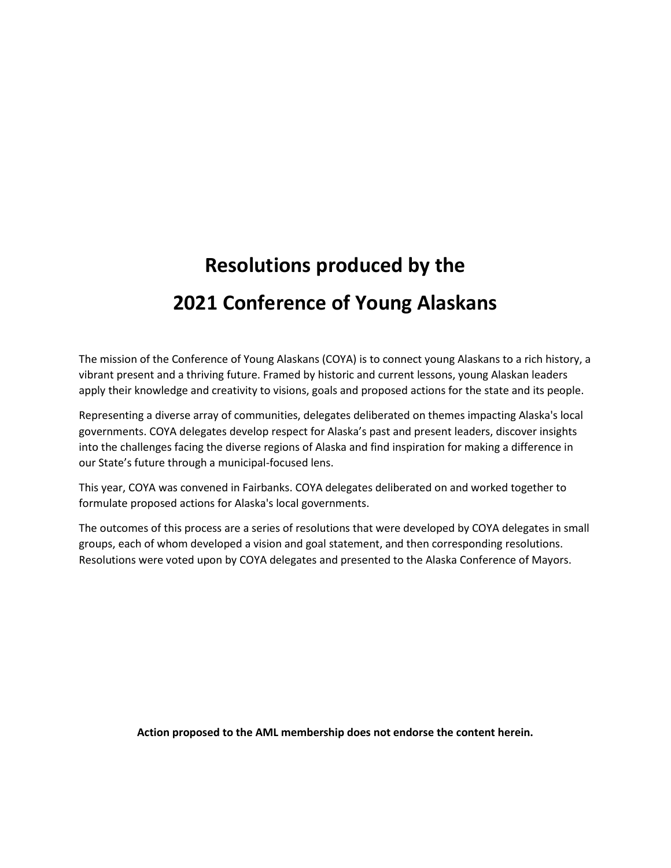# **Resolutions produced by the 2021 Conference of Young Alaskans**

The mission of the Conference of Young Alaskans (COYA) is to connect young Alaskans to a rich history, a vibrant present and a thriving future. Framed by historic and current lessons, young Alaskan leaders apply their knowledge and creativity to visions, goals and proposed actions for the state and its people.

Representing a diverse array of communities, delegates deliberated on themes impacting Alaska's local governments. COYA delegates develop respect for Alaska's past and present leaders, discover insights into the challenges facing the diverse regions of Alaska and find inspiration for making a difference in our State's future through a municipal-focused lens.

This year, COYA was convened in Fairbanks. COYA delegates deliberated on and worked together to formulate proposed actions for Alaska's local governments.

The outcomes of this process are a series of resolutions that were developed by COYA delegates in small groups, each of whom developed a vision and goal statement, and then corresponding resolutions. Resolutions were voted upon by COYA delegates and presented to the Alaska Conference of Mayors.

**Action proposed to the AML membership does not endorse the content herein.**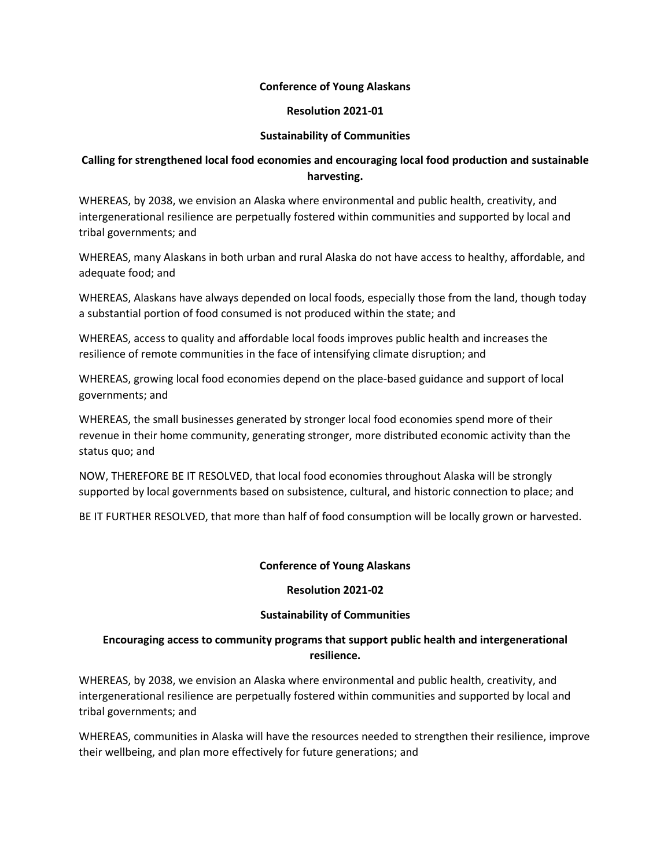#### **Resolution 2021-01**

## **Sustainability of Communities**

# **Calling for strengthened local food economies and encouraging local food production and sustainable harvesting.**

WHEREAS, by 2038, we envision an Alaska where environmental and public health, creativity, and intergenerational resilience are perpetually fostered within communities and supported by local and tribal governments; and

WHEREAS, many Alaskans in both urban and rural Alaska do not have access to healthy, affordable, and adequate food; and

WHEREAS, Alaskans have always depended on local foods, especially those from the land, though today a substantial portion of food consumed is not produced within the state; and

WHEREAS, access to quality and affordable local foods improves public health and increases the resilience of remote communities in the face of intensifying climate disruption; and

WHEREAS, growing local food economies depend on the place-based guidance and support of local governments; and

WHEREAS, the small businesses generated by stronger local food economies spend more of their revenue in their home community, generating stronger, more distributed economic activity than the status quo; and

NOW, THEREFORE BE IT RESOLVED, that local food economies throughout Alaska will be strongly supported by local governments based on subsistence, cultural, and historic connection to place; and

BE IT FURTHER RESOLVED, that more than half of food consumption will be locally grown or harvested.

#### **Conference of Young Alaskans**

#### **Resolution 2021-02**

#### **Sustainability of Communities**

# **Encouraging access to community programs that support public health and intergenerational resilience.**

WHEREAS, by 2038, we envision an Alaska where environmental and public health, creativity, and intergenerational resilience are perpetually fostered within communities and supported by local and tribal governments; and

WHEREAS, communities in Alaska will have the resources needed to strengthen their resilience, improve their wellbeing, and plan more effectively for future generations; and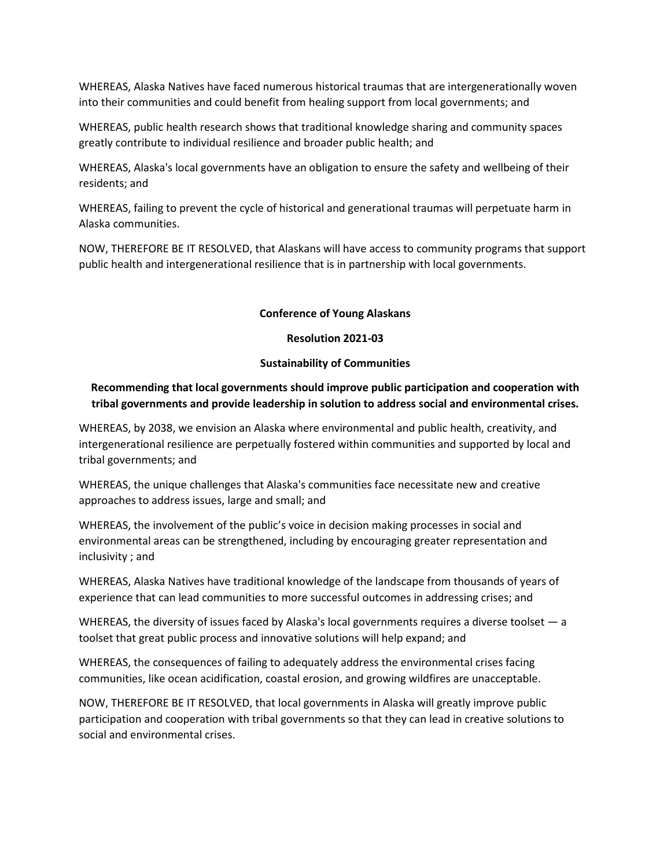WHEREAS, Alaska Natives have faced numerous historical traumas that are intergenerationally woven into their communities and could benefit from healing support from local governments; and

WHEREAS, public health research shows that traditional knowledge sharing and community spaces greatly contribute to individual resilience and broader public health; and

WHEREAS, Alaska's local governments have an obligation to ensure the safety and wellbeing of their residents; and

WHEREAS, failing to prevent the cycle of historical and generational traumas will perpetuate harm in Alaska communities.

NOW, THEREFORE BE IT RESOLVED, that Alaskans will have access to community programs that support public health and intergenerational resilience that is in partnership with local governments.

#### **Conference of Young Alaskans**

#### **Resolution 2021-03**

#### **Sustainability of Communities**

# **Recommending that local governments should improve public participation and cooperation with tribal governments and provide leadership in solution to address social and environmental crises.**

WHEREAS, by 2038, we envision an Alaska where environmental and public health, creativity, and intergenerational resilience are perpetually fostered within communities and supported by local and tribal governments; and

WHEREAS, the unique challenges that Alaska's communities face necessitate new and creative approaches to address issues, large and small; and

WHEREAS, the involvement of the public's voice in decision making processes in social and environmental areas can be strengthened, including by encouraging greater representation and inclusivity ; and

WHEREAS, Alaska Natives have traditional knowledge of the landscape from thousands of years of experience that can lead communities to more successful outcomes in addressing crises; and

WHEREAS, the diversity of issues faced by Alaska's local governments requires a diverse toolset — a toolset that great public process and innovative solutions will help expand; and

WHEREAS, the consequences of failing to adequately address the environmental crises facing communities, like ocean acidification, coastal erosion, and growing wildfires are unacceptable.

NOW, THEREFORE BE IT RESOLVED, that local governments in Alaska will greatly improve public participation and cooperation with tribal governments so that they can lead in creative solutions to social and environmental crises.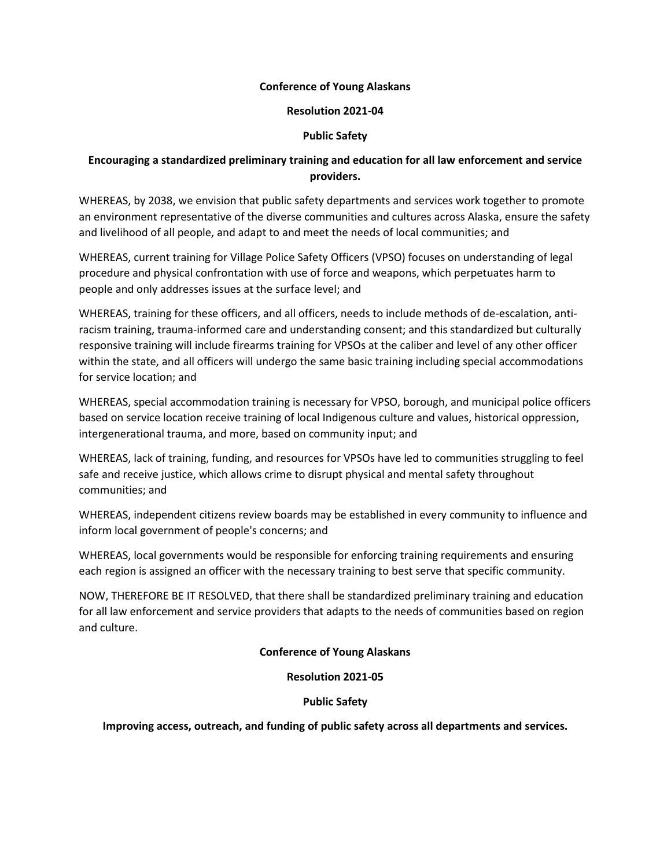#### **Resolution 2021-04**

## **Public Safety**

# **Encouraging a standardized preliminary training and education for all law enforcement and service providers.**

WHEREAS, by 2038, we envision that public safety departments and services work together to promote an environment representative of the diverse communities and cultures across Alaska, ensure the safety and livelihood of all people, and adapt to and meet the needs of local communities; and

WHEREAS, current training for Village Police Safety Officers (VPSO) focuses on understanding of legal procedure and physical confrontation with use of force and weapons, which perpetuates harm to people and only addresses issues at the surface level; and

WHEREAS, training for these officers, and all officers, needs to include methods of de-escalation, antiracism training, trauma-informed care and understanding consent; and this standardized but culturally responsive training will include firearms training for VPSOs at the caliber and level of any other officer within the state, and all officers will undergo the same basic training including special accommodations for service location; and

WHEREAS, special accommodation training is necessary for VPSO, borough, and municipal police officers based on service location receive training of local Indigenous culture and values, historical oppression, intergenerational trauma, and more, based on community input; and

WHEREAS, lack of training, funding, and resources for VPSOs have led to communities struggling to feel safe and receive justice, which allows crime to disrupt physical and mental safety throughout communities; and

WHEREAS, independent citizens review boards may be established in every community to influence and inform local government of people's concerns; and

WHEREAS, local governments would be responsible for enforcing training requirements and ensuring each region is assigned an officer with the necessary training to best serve that specific community.

NOW, THEREFORE BE IT RESOLVED, that there shall be standardized preliminary training and education for all law enforcement and service providers that adapts to the needs of communities based on region and culture.

# **Conference of Young Alaskans**

#### **Resolution 2021-05**

#### **Public Safety**

**Improving access, outreach, and funding of public safety across all departments and services.**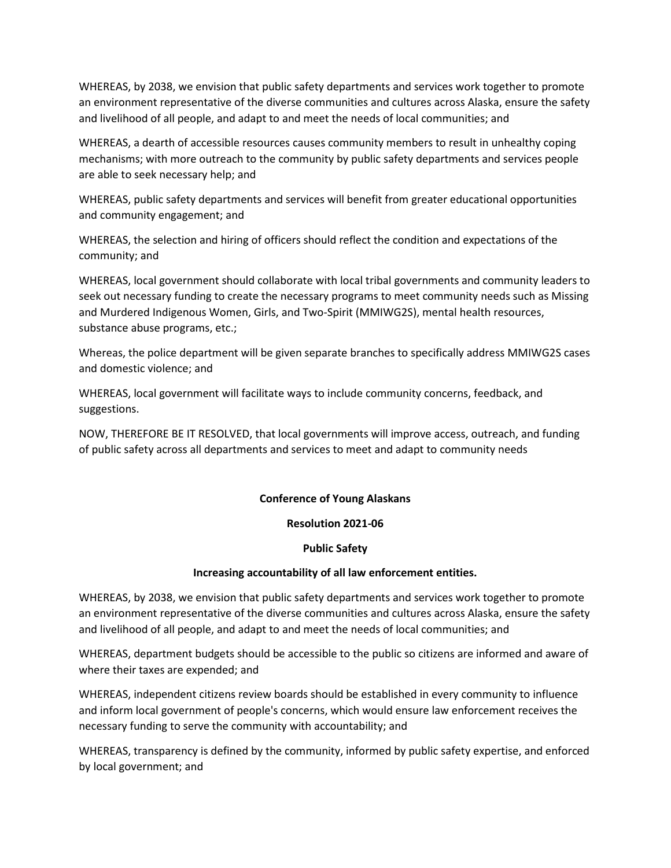WHEREAS, by 2038, we envision that public safety departments and services work together to promote an environment representative of the diverse communities and cultures across Alaska, ensure the safety and livelihood of all people, and adapt to and meet the needs of local communities; and

WHEREAS, a dearth of accessible resources causes community members to result in unhealthy coping mechanisms; with more outreach to the community by public safety departments and services people are able to seek necessary help; and

WHEREAS, public safety departments and services will benefit from greater educational opportunities and community engagement; and

WHEREAS, the selection and hiring of officers should reflect the condition and expectations of the community; and

WHEREAS, local government should collaborate with local tribal governments and community leaders to seek out necessary funding to create the necessary programs to meet community needs such as Missing and Murdered Indigenous Women, Girls, and Two-Spirit (MMIWG2S), mental health resources, substance abuse programs, etc.;

Whereas, the police department will be given separate branches to specifically address MMIWG2S cases and domestic violence; and

WHEREAS, local government will facilitate ways to include community concerns, feedback, and suggestions.

NOW, THEREFORE BE IT RESOLVED, that local governments will improve access, outreach, and funding of public safety across all departments and services to meet and adapt to community needs

# **Conference of Young Alaskans**

#### **Resolution 2021-06**

#### **Public Safety**

#### **Increasing accountability of all law enforcement entities.**

WHEREAS, by 2038, we envision that public safety departments and services work together to promote an environment representative of the diverse communities and cultures across Alaska, ensure the safety and livelihood of all people, and adapt to and meet the needs of local communities; and

WHEREAS, department budgets should be accessible to the public so citizens are informed and aware of where their taxes are expended; and

WHEREAS, independent citizens review boards should be established in every community to influence and inform local government of people's concerns, which would ensure law enforcement receives the necessary funding to serve the community with accountability; and

WHEREAS, transparency is defined by the community, informed by public safety expertise, and enforced by local government; and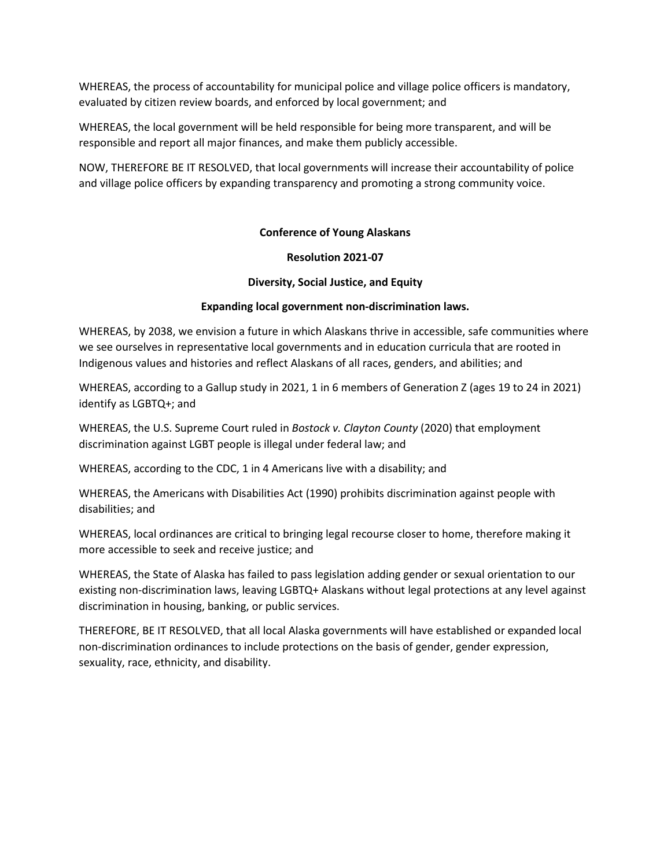WHEREAS, the process of accountability for municipal police and village police officers is mandatory, evaluated by citizen review boards, and enforced by local government; and

WHEREAS, the local government will be held responsible for being more transparent, and will be responsible and report all major finances, and make them publicly accessible.

NOW, THEREFORE BE IT RESOLVED, that local governments will increase their accountability of police and village police officers by expanding transparency and promoting a strong community voice.

# **Conference of Young Alaskans**

#### **Resolution 2021-07**

#### **Diversity, Social Justice, and Equity**

#### **Expanding local government non-discrimination laws.**

WHEREAS, by 2038, we envision a future in which Alaskans thrive in accessible, safe communities where we see ourselves in representative local governments and in education curricula that are rooted in Indigenous values and histories and reflect Alaskans of all races, genders, and abilities; and

WHEREAS, according to a Gallup study in 2021, 1 in 6 members of Generation Z (ages 19 to 24 in 2021) identify as LGBTQ+; and

WHEREAS, the U.S. Supreme Court ruled in *Bostock v. Clayton County* (2020) that employment discrimination against LGBT people is illegal under federal law; and

WHEREAS, according to the CDC, 1 in 4 Americans live with a disability; and

WHEREAS, the Americans with Disabilities Act (1990) prohibits discrimination against people with disabilities; and

WHEREAS, local ordinances are critical to bringing legal recourse closer to home, therefore making it more accessible to seek and receive justice; and

WHEREAS, the State of Alaska has failed to pass legislation adding gender or sexual orientation to our existing non-discrimination laws, leaving LGBTQ+ Alaskans without legal protections at any level against discrimination in housing, banking, or public services.

THEREFORE, BE IT RESOLVED, that all local Alaska governments will have established or expanded local non-discrimination ordinances to include protections on the basis of gender, gender expression, sexuality, race, ethnicity, and disability.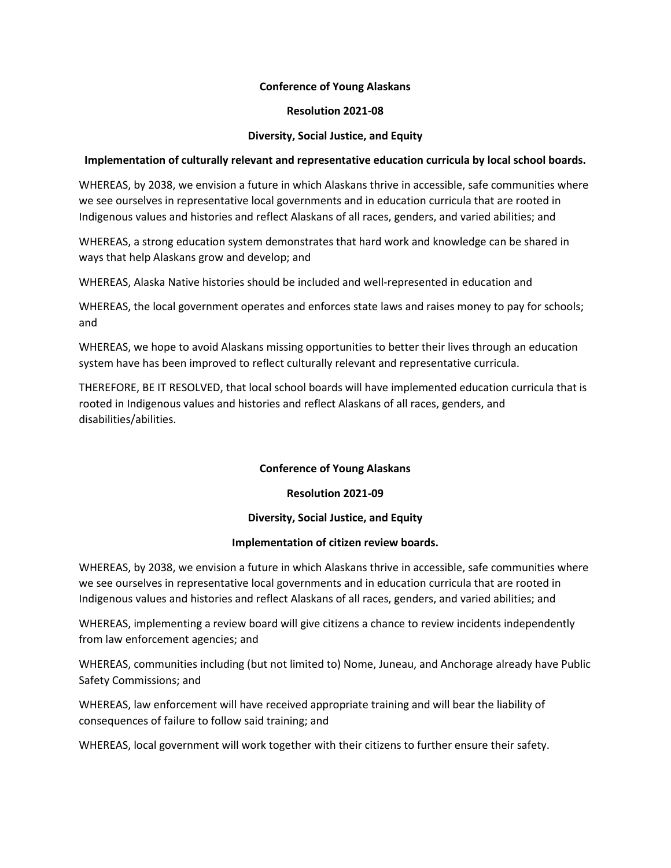#### **Resolution 2021-08**

#### **Diversity, Social Justice, and Equity**

#### **Implementation of culturally relevant and representative education curricula by local school boards.**

WHEREAS, by 2038, we envision a future in which Alaskans thrive in accessible, safe communities where we see ourselves in representative local governments and in education curricula that are rooted in Indigenous values and histories and reflect Alaskans of all races, genders, and varied abilities; and

WHEREAS, a strong education system demonstrates that hard work and knowledge can be shared in ways that help Alaskans grow and develop; and

WHEREAS, Alaska Native histories should be included and well-represented in education and

WHEREAS, the local government operates and enforces state laws and raises money to pay for schools; and

WHEREAS, we hope to avoid Alaskans missing opportunities to better their lives through an education system have has been improved to reflect culturally relevant and representative curricula.

THEREFORE, BE IT RESOLVED, that local school boards will have implemented education curricula that is rooted in Indigenous values and histories and reflect Alaskans of all races, genders, and disabilities/abilities.

#### **Conference of Young Alaskans**

#### **Resolution 2021-09**

#### **Diversity, Social Justice, and Equity**

#### **Implementation of citizen review boards.**

WHEREAS, by 2038, we envision a future in which Alaskans thrive in accessible, safe communities where we see ourselves in representative local governments and in education curricula that are rooted in Indigenous values and histories and reflect Alaskans of all races, genders, and varied abilities; and

WHEREAS, implementing a review board will give citizens a chance to review incidents independently from law enforcement agencies; and

WHEREAS, communities including (but not limited to) Nome, Juneau, and Anchorage already have Public Safety Commissions; and

WHEREAS, law enforcement will have received appropriate training and will bear the liability of consequences of failure to follow said training; and

WHEREAS, local government will work together with their citizens to further ensure their safety.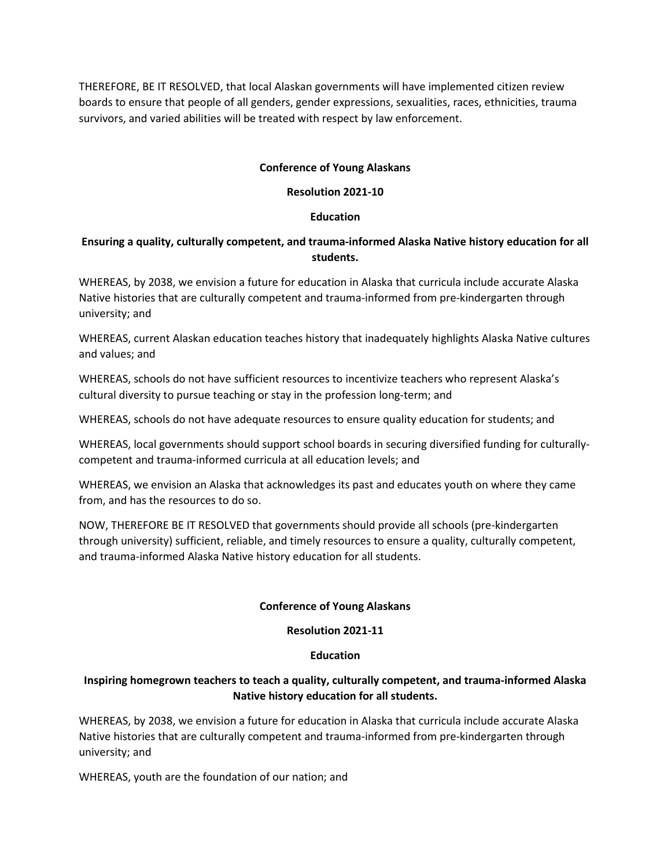THEREFORE, BE IT RESOLVED, that local Alaskan governments will have implemented citizen review boards to ensure that people of all genders, gender expressions, sexualities, races, ethnicities, trauma survivors, and varied abilities will be treated with respect by law enforcement.

## **Conference of Young Alaskans**

## **Resolution 2021-10**

## **Education**

# **Ensuring a quality, culturally competent, and trauma-informed Alaska Native history education for all students.**

WHEREAS, by 2038, we envision a future for education in Alaska that curricula include accurate Alaska Native histories that are culturally competent and trauma-informed from pre-kindergarten through university; and

WHEREAS, current Alaskan education teaches history that inadequately highlights Alaska Native cultures and values; and

WHEREAS, schools do not have sufficient resources to incentivize teachers who represent Alaska's cultural diversity to pursue teaching or stay in the profession long-term; and

WHEREAS, schools do not have adequate resources to ensure quality education for students; and

WHEREAS, local governments should support school boards in securing diversified funding for culturallycompetent and trauma-informed curricula at all education levels; and

WHEREAS, we envision an Alaska that acknowledges its past and educates youth on where they came from, and has the resources to do so.

NOW, THEREFORE BE IT RESOLVED that governments should provide all schools (pre-kindergarten through university) sufficient, reliable, and timely resources to ensure a quality, culturally competent, and trauma-informed Alaska Native history education for all students.

# **Conference of Young Alaskans**

#### **Resolution 2021-11**

#### **Education**

# **Inspiring homegrown teachers to teach a quality, culturally competent, and trauma-informed Alaska Native history education for all students.**

WHEREAS, by 2038, we envision a future for education in Alaska that curricula include accurate Alaska Native histories that are culturally competent and trauma-informed from pre-kindergarten through university; and

WHEREAS, youth are the foundation of our nation; and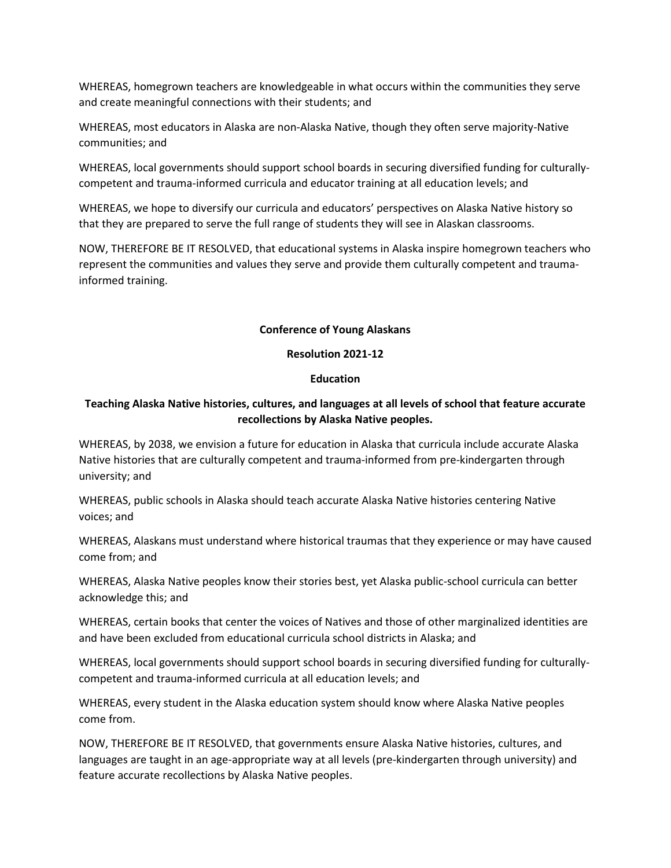WHEREAS, homegrown teachers are knowledgeable in what occurs within the communities they serve and create meaningful connections with their students; and

WHEREAS, most educators in Alaska are non-Alaska Native, though they often serve majority-Native communities; and

WHEREAS, local governments should support school boards in securing diversified funding for culturallycompetent and trauma-informed curricula and educator training at all education levels; and

WHEREAS, we hope to diversify our curricula and educators' perspectives on Alaska Native history so that they are prepared to serve the full range of students they will see in Alaskan classrooms.

NOW, THEREFORE BE IT RESOLVED, that educational systems in Alaska inspire homegrown teachers who represent the communities and values they serve and provide them culturally competent and traumainformed training.

#### **Conference of Young Alaskans**

# **Resolution 2021-12**

#### **Education**

# **Teaching Alaska Native histories, cultures, and languages at all levels of school that feature accurate recollections by Alaska Native peoples.**

WHEREAS, by 2038, we envision a future for education in Alaska that curricula include accurate Alaska Native histories that are culturally competent and trauma-informed from pre-kindergarten through university; and

WHEREAS, public schools in Alaska should teach accurate Alaska Native histories centering Native voices; and

WHEREAS, Alaskans must understand where historical traumas that they experience or may have caused come from; and

WHEREAS, Alaska Native peoples know their stories best, yet Alaska public-school curricula can better acknowledge this; and

WHEREAS, certain books that center the voices of Natives and those of other marginalized identities are and have been excluded from educational curricula school districts in Alaska; and

WHEREAS, local governments should support school boards in securing diversified funding for culturallycompetent and trauma-informed curricula at all education levels; and

WHEREAS, every student in the Alaska education system should know where Alaska Native peoples come from.

NOW, THEREFORE BE IT RESOLVED, that governments ensure Alaska Native histories, cultures, and languages are taught in an age-appropriate way at all levels (pre-kindergarten through university) and feature accurate recollections by Alaska Native peoples.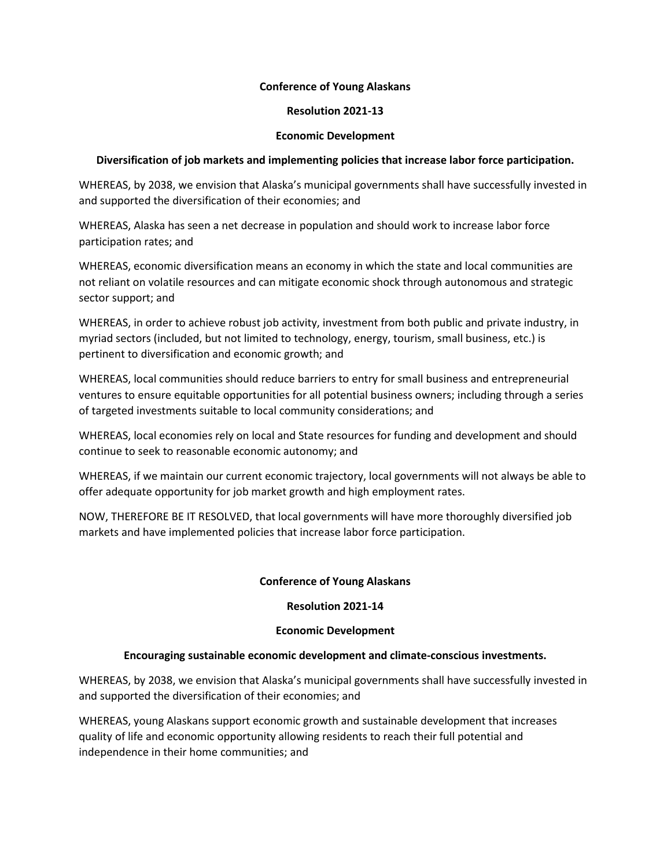#### **Resolution 2021-13**

#### **Economic Development**

## **Diversification of job markets and implementing policies that increase labor force participation.**

WHEREAS, by 2038, we envision that Alaska's municipal governments shall have successfully invested in and supported the diversification of their economies; and

WHEREAS, Alaska has seen a net decrease in population and should work to increase labor force participation rates; and

WHEREAS, economic diversification means an economy in which the state and local communities are not reliant on volatile resources and can mitigate economic shock through autonomous and strategic sector support; and

WHEREAS, in order to achieve robust job activity, investment from both public and private industry, in myriad sectors (included, but not limited to technology, energy, tourism, small business, etc.) is pertinent to diversification and economic growth; and

WHEREAS, local communities should reduce barriers to entry for small business and entrepreneurial ventures to ensure equitable opportunities for all potential business owners; including through a series of targeted investments suitable to local community considerations; and

WHEREAS, local economies rely on local and State resources for funding and development and should continue to seek to reasonable economic autonomy; and

WHEREAS, if we maintain our current economic trajectory, local governments will not always be able to offer adequate opportunity for job market growth and high employment rates.

NOW, THEREFORE BE IT RESOLVED, that local governments will have more thoroughly diversified job markets and have implemented policies that increase labor force participation.

#### **Conference of Young Alaskans**

#### **Resolution 2021-14**

#### **Economic Development**

#### **Encouraging sustainable economic development and climate-conscious investments.**

WHEREAS, by 2038, we envision that Alaska's municipal governments shall have successfully invested in and supported the diversification of their economies; and

WHEREAS, young Alaskans support economic growth and sustainable development that increases quality of life and economic opportunity allowing residents to reach their full potential and independence in their home communities; and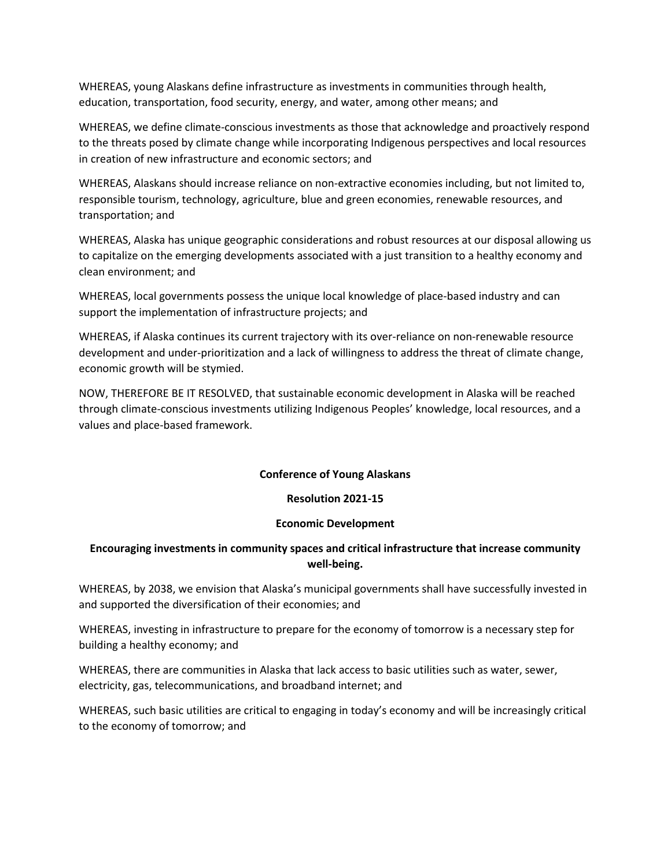WHEREAS, young Alaskans define infrastructure as investments in communities through health, education, transportation, food security, energy, and water, among other means; and

WHEREAS, we define climate-conscious investments as those that acknowledge and proactively respond to the threats posed by climate change while incorporating Indigenous perspectives and local resources in creation of new infrastructure and economic sectors; and

WHEREAS, Alaskans should increase reliance on non-extractive economies including, but not limited to, responsible tourism, technology, agriculture, blue and green economies, renewable resources, and transportation; and

WHEREAS, Alaska has unique geographic considerations and robust resources at our disposal allowing us to capitalize on the emerging developments associated with a just transition to a healthy economy and clean environment; and

WHEREAS, local governments possess the unique local knowledge of place-based industry and can support the implementation of infrastructure projects; and

WHEREAS, if Alaska continues its current trajectory with its over-reliance on non-renewable resource development and under-prioritization and a lack of willingness to address the threat of climate change, economic growth will be stymied.

NOW, THEREFORE BE IT RESOLVED, that sustainable economic development in Alaska will be reached through climate-conscious investments utilizing Indigenous Peoples' knowledge, local resources, and a values and place-based framework.

#### **Conference of Young Alaskans**

#### **Resolution 2021-15**

#### **Economic Development**

# **Encouraging investments in community spaces and critical infrastructure that increase community well-being.**

WHEREAS, by 2038, we envision that Alaska's municipal governments shall have successfully invested in and supported the diversification of their economies; and

WHEREAS, investing in infrastructure to prepare for the economy of tomorrow is a necessary step for building a healthy economy; and

WHEREAS, there are communities in Alaska that lack access to basic utilities such as water, sewer, electricity, gas, telecommunications, and broadband internet; and

WHEREAS, such basic utilities are critical to engaging in today's economy and will be increasingly critical to the economy of tomorrow; and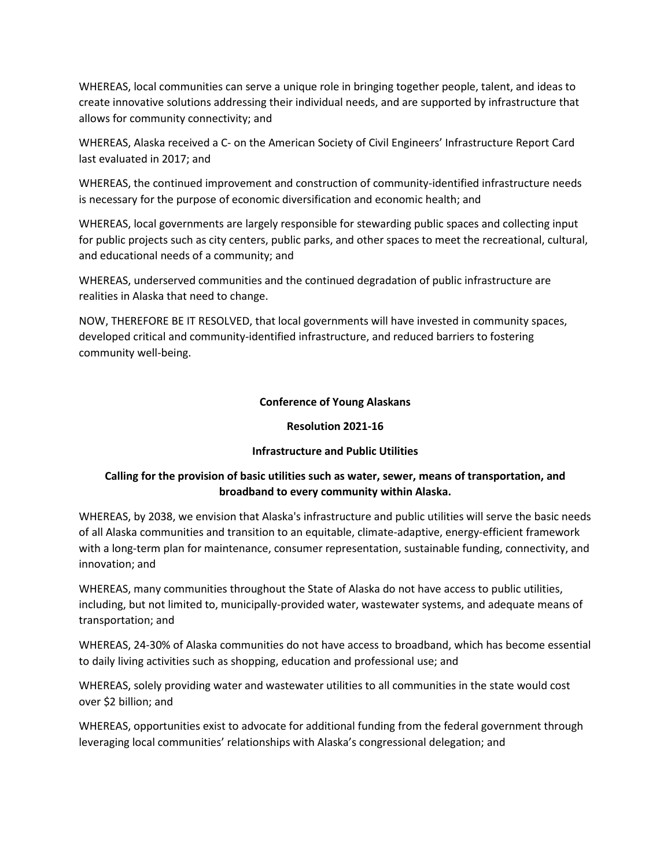WHEREAS, local communities can serve a unique role in bringing together people, talent, and ideas to create innovative solutions addressing their individual needs, and are supported by infrastructure that allows for community connectivity; and

WHEREAS, Alaska received a C- on the American Society of Civil Engineers' Infrastructure Report Card last evaluated in 2017; and

WHEREAS, the continued improvement and construction of community-identified infrastructure needs is necessary for the purpose of economic diversification and economic health; and

WHEREAS, local governments are largely responsible for stewarding public spaces and collecting input for public projects such as city centers, public parks, and other spaces to meet the recreational, cultural, and educational needs of a community; and

WHEREAS, underserved communities and the continued degradation of public infrastructure are realities in Alaska that need to change.

NOW, THEREFORE BE IT RESOLVED, that local governments will have invested in community spaces, developed critical and community-identified infrastructure, and reduced barriers to fostering community well-being.

#### **Conference of Young Alaskans**

#### **Resolution 2021-16**

#### **Infrastructure and Public Utilities**

# **Calling for the provision of basic utilities such as water, sewer, means of transportation, and broadband to every community within Alaska.**

WHEREAS, by 2038, we envision that Alaska's infrastructure and public utilities will serve the basic needs of all Alaska communities and transition to an equitable, climate-adaptive, energy-efficient framework with a long-term plan for maintenance, consumer representation, sustainable funding, connectivity, and innovation; and

WHEREAS, many communities throughout the State of Alaska do not have access to public utilities, including, but not limited to, municipally-provided water, wastewater systems, and adequate means of transportation; and

WHEREAS, 24-30% of Alaska communities do not have access to broadband, which has become essential to daily living activities such as shopping, education and professional use; and

WHEREAS, solely providing water and wastewater utilities to all communities in the state would cost over \$2 billion; and

WHEREAS, opportunities exist to advocate for additional funding from the federal government through leveraging local communities' relationships with Alaska's congressional delegation; and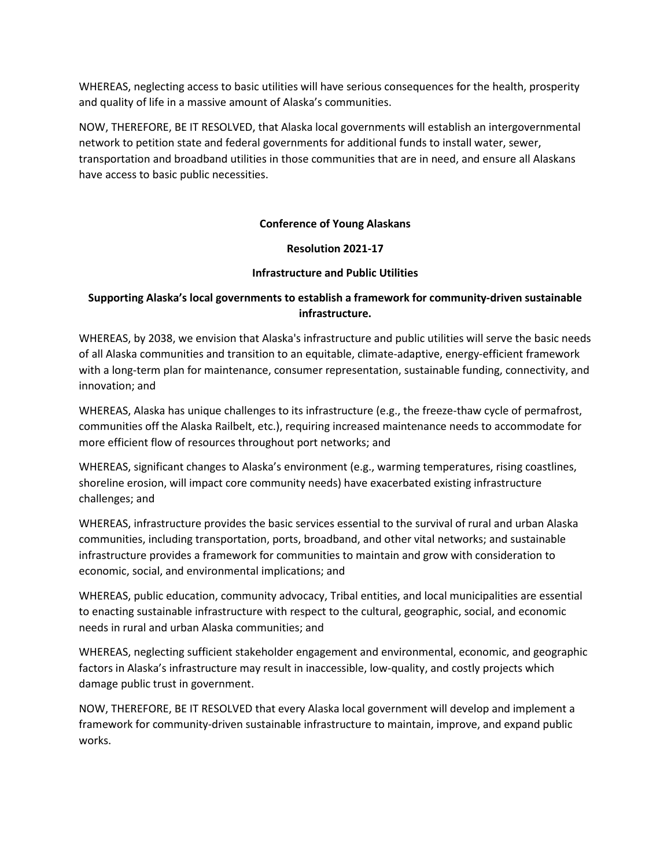WHEREAS, neglecting access to basic utilities will have serious consequences for the health, prosperity and quality of life in a massive amount of Alaska's communities.

NOW, THEREFORE, BE IT RESOLVED, that Alaska local governments will establish an intergovernmental network to petition state and federal governments for additional funds to install water, sewer, transportation and broadband utilities in those communities that are in need, and ensure all Alaskans have access to basic public necessities.

# **Conference of Young Alaskans**

#### **Resolution 2021-17**

#### **Infrastructure and Public Utilities**

# **Supporting Alaska's local governments to establish a framework for community-driven sustainable infrastructure.**

WHEREAS, by 2038, we envision that Alaska's infrastructure and public utilities will serve the basic needs of all Alaska communities and transition to an equitable, climate-adaptive, energy-efficient framework with a long-term plan for maintenance, consumer representation, sustainable funding, connectivity, and innovation; and

WHEREAS, Alaska has unique challenges to its infrastructure (e.g., the freeze-thaw cycle of permafrost, communities off the Alaska Railbelt, etc.), requiring increased maintenance needs to accommodate for more efficient flow of resources throughout port networks; and

WHEREAS, significant changes to Alaska's environment (e.g., warming temperatures, rising coastlines, shoreline erosion, will impact core community needs) have exacerbated existing infrastructure challenges; and

WHEREAS, infrastructure provides the basic services essential to the survival of rural and urban Alaska communities, including transportation, ports, broadband, and other vital networks; and sustainable infrastructure provides a framework for communities to maintain and grow with consideration to economic, social, and environmental implications; and

WHEREAS, public education, community advocacy, Tribal entities, and local municipalities are essential to enacting sustainable infrastructure with respect to the cultural, geographic, social, and economic needs in rural and urban Alaska communities; and

WHEREAS, neglecting sufficient stakeholder engagement and environmental, economic, and geographic factors in Alaska's infrastructure may result in inaccessible, low-quality, and costly projects which damage public trust in government.

NOW, THEREFORE, BE IT RESOLVED that every Alaska local government will develop and implement a framework for community-driven sustainable infrastructure to maintain, improve, and expand public works.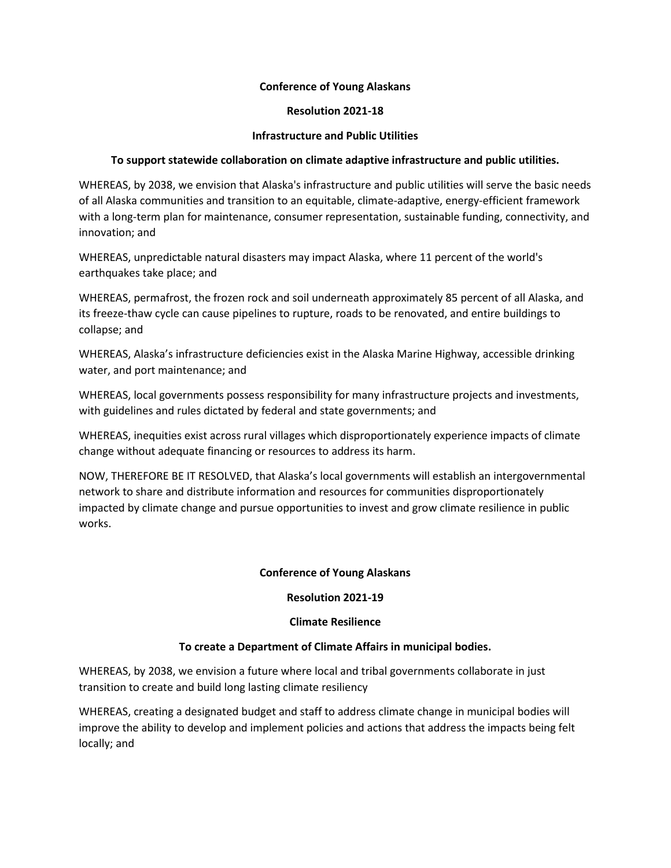#### **Resolution 2021-18**

#### **Infrastructure and Public Utilities**

## **To support statewide collaboration on climate adaptive infrastructure and public utilities.**

WHEREAS, by 2038, we envision that Alaska's infrastructure and public utilities will serve the basic needs of all Alaska communities and transition to an equitable, climate-adaptive, energy-efficient framework with a long-term plan for maintenance, consumer representation, sustainable funding, connectivity, and innovation; and

WHEREAS, unpredictable natural disasters may impact Alaska, where 11 percent of the world's earthquakes take place; and

WHEREAS, permafrost, the frozen rock and soil underneath approximately 85 percent of all Alaska, and its freeze-thaw cycle can cause pipelines to rupture, roads to be renovated, and entire buildings to collapse; and

WHEREAS, Alaska's infrastructure deficiencies exist in the Alaska Marine Highway, accessible drinking water, and port maintenance; and

WHEREAS, local governments possess responsibility for many infrastructure projects and investments, with guidelines and rules dictated by federal and state governments; and

WHEREAS, inequities exist across rural villages which disproportionately experience impacts of climate change without adequate financing or resources to address its harm.

NOW, THEREFORE BE IT RESOLVED, that Alaska's local governments will establish an intergovernmental network to share and distribute information and resources for communities disproportionately impacted by climate change and pursue opportunities to invest and grow climate resilience in public works.

#### **Conference of Young Alaskans**

#### **Resolution 2021-19**

#### **Climate Resilience**

#### **To create a Department of Climate Affairs in municipal bodies.**

WHEREAS, by 2038, we envision a future where local and tribal governments collaborate in just transition to create and build long lasting climate resiliency

WHEREAS, creating a designated budget and staff to address climate change in municipal bodies will improve the ability to develop and implement policies and actions that address the impacts being felt locally; and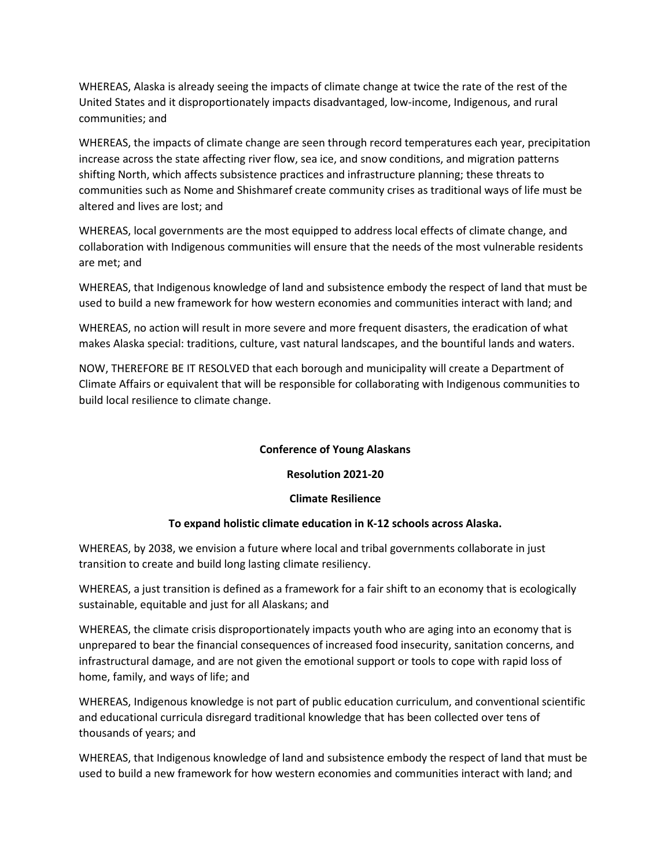WHEREAS, Alaska is already seeing the impacts of climate change at twice the rate of the rest of the United States and it disproportionately impacts disadvantaged, low-income, Indigenous, and rural communities; and

WHEREAS, the impacts of climate change are seen through record temperatures each year, precipitation increase across the state affecting river flow, sea ice, and snow conditions, and migration patterns shifting North, which affects subsistence practices and infrastructure planning; these threats to communities such as Nome and Shishmaref create community crises as traditional ways of life must be altered and lives are lost; and

WHEREAS, local governments are the most equipped to address local effects of climate change, and collaboration with Indigenous communities will ensure that the needs of the most vulnerable residents are met; and

WHEREAS, that Indigenous knowledge of land and subsistence embody the respect of land that must be used to build a new framework for how western economies and communities interact with land; and

WHEREAS, no action will result in more severe and more frequent disasters, the eradication of what makes Alaska special: traditions, culture, vast natural landscapes, and the bountiful lands and waters.

NOW, THEREFORE BE IT RESOLVED that each borough and municipality will create a Department of Climate Affairs or equivalent that will be responsible for collaborating with Indigenous communities to build local resilience to climate change.

#### **Conference of Young Alaskans**

**Resolution 2021-20**

#### **Climate Resilience**

# **To expand holistic climate education in K-12 schools across Alaska.**

WHEREAS, by 2038, we envision a future where local and tribal governments collaborate in just transition to create and build long lasting climate resiliency.

WHEREAS, a just transition is defined as a framework for a fair shift to an economy that is ecologically sustainable, equitable and just for all Alaskans; and

WHEREAS, the climate crisis disproportionately impacts youth who are aging into an economy that is unprepared to bear the financial consequences of increased food insecurity, sanitation concerns, and infrastructural damage, and are not given the emotional support or tools to cope with rapid loss of home, family, and ways of life; and

WHEREAS, Indigenous knowledge is not part of public education curriculum, and conventional scientific and educational curricula disregard traditional knowledge that has been collected over tens of thousands of years; and

WHEREAS, that Indigenous knowledge of land and subsistence embody the respect of land that must be used to build a new framework for how western economies and communities interact with land; and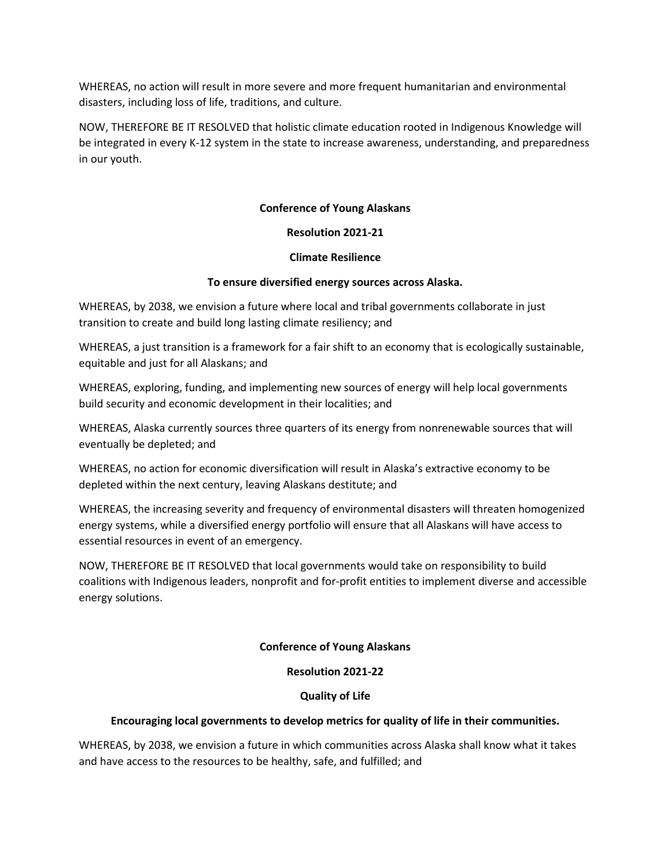WHEREAS, no action will result in more severe and more frequent humanitarian and environmental disasters, including loss of life, traditions, and culture.

NOW, THEREFORE BE IT RESOLVED that holistic climate education rooted in Indigenous Knowledge will be integrated in every K-12 system in the state to increase awareness, understanding, and preparedness in our youth.

# **Conference of Young Alaskans**

#### **Resolution 2021-21**

#### **Climate Resilience**

#### **To ensure diversified energy sources across Alaska.**

WHEREAS, by 2038, we envision a future where local and tribal governments collaborate in just transition to create and build long lasting climate resiliency; and

WHEREAS, a just transition is a framework for a fair shift to an economy that is ecologically sustainable, equitable and just for all Alaskans; and

WHEREAS, exploring, funding, and implementing new sources of energy will help local governments build security and economic development in their localities; and

WHEREAS, Alaska currently sources three quarters of its energy from nonrenewable sources that will eventually be depleted; and

WHEREAS, no action for economic diversification will result in Alaska's extractive economy to be depleted within the next century, leaving Alaskans destitute; and

WHEREAS, the increasing severity and frequency of environmental disasters will threaten homogenized energy systems, while a diversified energy portfolio will ensure that all Alaskans will have access to essential resources in event of an emergency.

NOW, THEREFORE BE IT RESOLVED that local governments would take on responsibility to build coalitions with Indigenous leaders, nonprofit and for-profit entities to implement diverse and accessible energy solutions.

#### **Conference of Young Alaskans**

#### **Resolution 2021-22**

#### **Quality of Life**

#### **Encouraging local governments to develop metrics for quality of life in their communities.**

WHEREAS, by 2038, we envision a future in which communities across Alaska shall know what it takes and have access to the resources to be healthy, safe, and fulfilled; and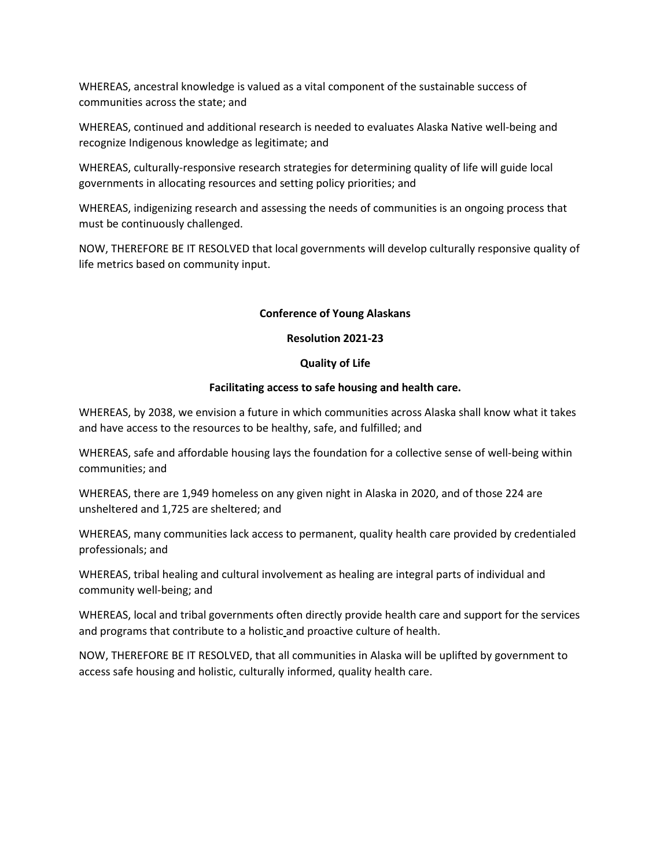WHEREAS, ancestral knowledge is valued as a vital component of the sustainable success of communities across the state; and

WHEREAS, continued and additional research is needed to evaluates Alaska Native well-being and recognize Indigenous knowledge as legitimate; and

WHEREAS, culturally-responsive research strategies for determining quality of life will guide local governments in allocating resources and setting policy priorities; and

WHEREAS, indigenizing research and assessing the needs of communities is an ongoing process that must be continuously challenged.

NOW, THEREFORE BE IT RESOLVED that local governments will develop culturally responsive quality of life metrics based on community input.

# **Conference of Young Alaskans**

#### **Resolution 2021-23**

# **Quality of Life**

# **Facilitating access to safe housing and health care.**

WHEREAS, by 2038, we envision a future in which communities across Alaska shall know what it takes and have access to the resources to be healthy, safe, and fulfilled; and

WHEREAS, safe and affordable housing lays the foundation for a collective sense of well-being within communities; and

WHEREAS, there are 1,949 homeless on any given night in Alaska in 2020, and of those 224 are unsheltered and 1,725 are sheltered; and

WHEREAS, many communities lack access to permanent, quality health care provided by credentialed professionals; and

WHEREAS, tribal healing and cultural involvement as healing are integral parts of individual and community well-being; and

WHEREAS, local and tribal governments often directly provide health care and support for the services and programs that contribute to a holistic and proactive culture of health.

NOW, THEREFORE BE IT RESOLVED, that all communities in Alaska will be uplifted by government to access safe housing and holistic, culturally informed, quality health care.